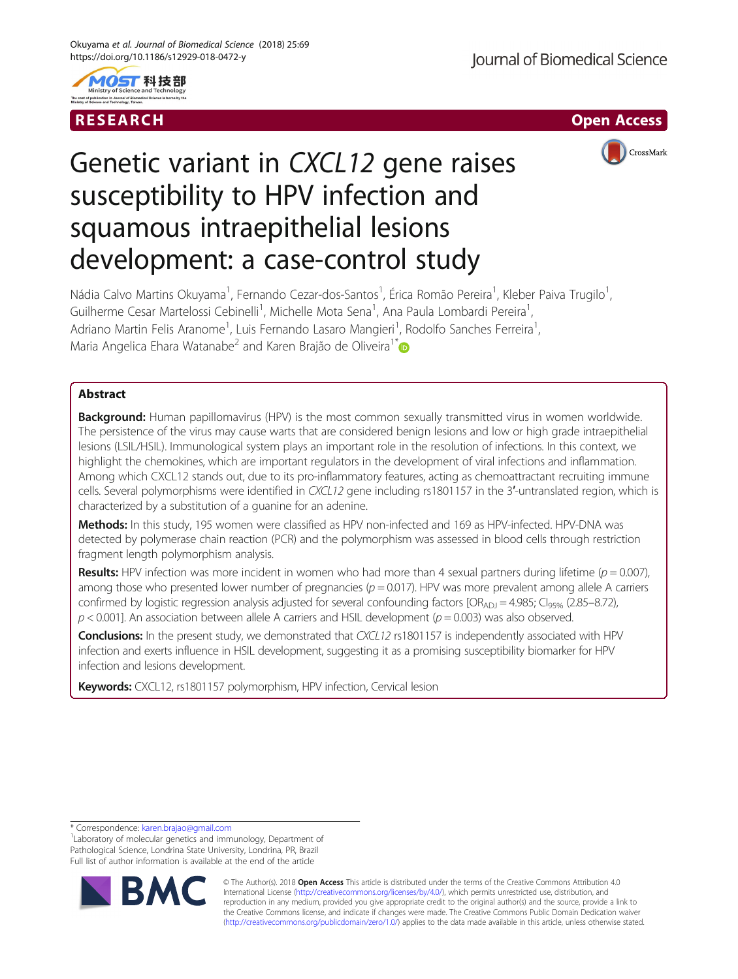





# Genetic variant in CXCL12 gene raises susceptibility to HPV infection and squamous intraepithelial lesions development: a case-control study

Nádia Calvo Martins Okuyama<sup>1</sup>, Fernando Cezar-dos-Santos<sup>1</sup>, Érica Romão Pereira<sup>1</sup>, Kleber Paiva Trugilo<sup>1</sup> , Guilherme Cesar Martelossi Cebinelli<sup>1</sup>, Michelle Mota Sena<sup>1</sup>, Ana Paula Lombardi Pereira<sup>1</sup> , Adriano Martin Felis Aranome<sup>1</sup>, Luis Fernando Lasaro Mangieri<sup>1</sup>, Rodolfo Sanches Ferreira<sup>1</sup> , Maria Angelica Ehara Watanabe<sup>2</sup> and Karen Brajão de Oliveira<sup>1\*</sup>

# Abstract

**Background:** Human papillomavirus (HPV) is the most common sexually transmitted virus in women worldwide. The persistence of the virus may cause warts that are considered benign lesions and low or high grade intraepithelial lesions (LSIL/HSIL). Immunological system plays an important role in the resolution of infections. In this context, we highlight the chemokines, which are important regulators in the development of viral infections and inflammation. Among which CXCL12 stands out, due to its pro-inflammatory features, acting as chemoattractant recruiting immune cells. Several polymorphisms were identified in CXCL12 gene including rs1801157 in the 3′-untranslated region, which is characterized by a substitution of a guanine for an adenine.

Methods: In this study, 195 women were classified as HPV non-infected and 169 as HPV-infected. HPV-DNA was detected by polymerase chain reaction (PCR) and the polymorphism was assessed in blood cells through restriction fragment length polymorphism analysis.

Results: HPV infection was more incident in women who had more than 4 sexual partners during lifetime ( $p = 0.007$ ), among those who presented lower number of pregnancies  $(p = 0.017)$ . HPV was more prevalent among allele A carriers confirmed by logistic regression analysis adjusted for several confounding factors  $[OR_{AD}]=4.985; Cl<sub>95%</sub> (2.85–8.72),$  $p < 0.001$ ]. An association between allele A carriers and HSIL development ( $p = 0.003$ ) was also observed.

Conclusions: In the present study, we demonstrated that CXCL12 rs1801157 is independently associated with HPV infection and exerts influence in HSIL development, suggesting it as a promising susceptibility biomarker for HPV infection and lesions development.

Keywords: CXCL12, rs1801157 polymorphism, HPV infection, Cervical lesion

<sup>1</sup>Laboratory of molecular genetics and immunology, Department of Pathological Science, Londrina State University, Londrina, PR, Brazil Full list of author information is available at the end of the article



© The Author(s). 2018 Open Access This article is distributed under the terms of the Creative Commons Attribution 4.0 International License [\(http://creativecommons.org/licenses/by/4.0/](http://creativecommons.org/licenses/by/4.0/)), which permits unrestricted use, distribution, and reproduction in any medium, provided you give appropriate credit to the original author(s) and the source, provide a link to the Creative Commons license, and indicate if changes were made. The Creative Commons Public Domain Dedication waiver [\(http://creativecommons.org/publicdomain/zero/1.0/](http://creativecommons.org/publicdomain/zero/1.0/)) applies to the data made available in this article, unless otherwise stated.

<sup>\*</sup> Correspondence: [karen.brajao@gmail.com](mailto:karen.brajao@gmail.com) <sup>1</sup>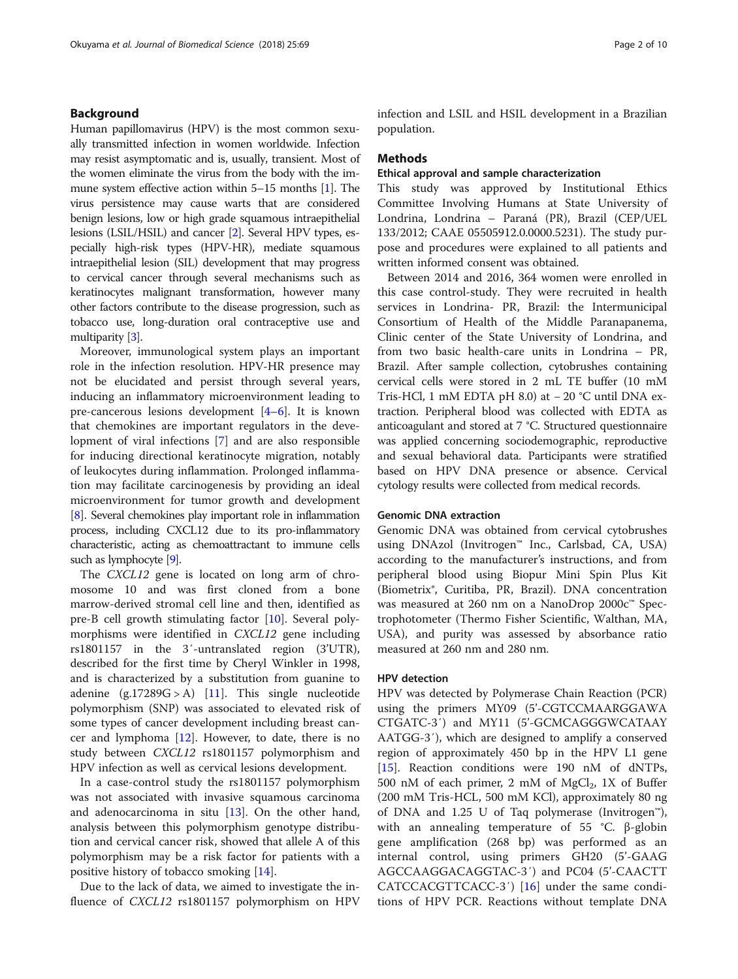# Background

Human papillomavirus (HPV) is the most common sexually transmitted infection in women worldwide. Infection may resist asymptomatic and is, usually, transient. Most of the women eliminate the virus from the body with the immune system effective action within 5–15 months [\[1\]](#page-8-0). The virus persistence may cause warts that are considered benign lesions, low or high grade squamous intraepithelial lesions (LSIL/HSIL) and cancer [\[2](#page-8-0)]. Several HPV types, especially high-risk types (HPV-HR), mediate squamous intraepithelial lesion (SIL) development that may progress to cervical cancer through several mechanisms such as keratinocytes malignant transformation, however many other factors contribute to the disease progression, such as tobacco use, long-duration oral contraceptive use and multiparity [\[3](#page-8-0)].

Moreover, immunological system plays an important role in the infection resolution. HPV-HR presence may not be elucidated and persist through several years, inducing an inflammatory microenvironment leading to pre-cancerous lesions development [\[4](#page-8-0)–[6](#page-8-0)]. It is known that chemokines are important regulators in the development of viral infections [\[7](#page-8-0)] and are also responsible for inducing directional keratinocyte migration, notably of leukocytes during inflammation. Prolonged inflammation may facilitate carcinogenesis by providing an ideal microenvironment for tumor growth and development [[8\]](#page-8-0). Several chemokines play important role in inflammation process, including CXCL12 due to its pro-inflammatory characteristic, acting as chemoattractant to immune cells such as lymphocyte [\[9\]](#page-8-0).

The CXCL12 gene is located on long arm of chromosome 10 and was first cloned from a bone marrow-derived stromal cell line and then, identified as pre-B cell growth stimulating factor [[10\]](#page-8-0). Several polymorphisms were identified in CXCL12 gene including rs1801157 in the 3′-untranslated region (3'UTR), described for the first time by Cheryl Winkler in 1998, and is characterized by a substitution from guanine to adenine  $(g.17289G > A)$  [\[11](#page-8-0)]. This single nucleotide polymorphism (SNP) was associated to elevated risk of some types of cancer development including breast cancer and lymphoma [\[12](#page-8-0)]. However, to date, there is no study between CXCL12 rs1801157 polymorphism and HPV infection as well as cervical lesions development.

In a case-control study the rs1801157 polymorphism was not associated with invasive squamous carcinoma and adenocarcinoma in situ  $[13]$ . On the other hand, analysis between this polymorphism genotype distribution and cervical cancer risk, showed that allele A of this polymorphism may be a risk factor for patients with a positive history of tobacco smoking [\[14](#page-8-0)].

Due to the lack of data, we aimed to investigate the influence of CXCL12 rs1801157 polymorphism on HPV infection and LSIL and HSIL development in a Brazilian population.

# Methods

# Ethical approval and sample characterization

This study was approved by Institutional Ethics Committee Involving Humans at State University of Londrina, Londrina – Paraná (PR), Brazil (CEP/UEL 133/2012; CAAE 05505912.0.0000.5231). The study purpose and procedures were explained to all patients and written informed consent was obtained.

Between 2014 and 2016, 364 women were enrolled in this case control-study. They were recruited in health services in Londrina- PR, Brazil: the Intermunicipal Consortium of Health of the Middle Paranapanema, Clinic center of the State University of Londrina, and from two basic health-care units in Londrina – PR, Brazil. After sample collection, cytobrushes containing cervical cells were stored in 2 mL TE buffer (10 mM Tris-HCl, 1 mM EDTA pH 8.0) at − 20 °C until DNA extraction. Peripheral blood was collected with EDTA as anticoagulant and stored at 7 °C. Structured questionnaire was applied concerning sociodemographic, reproductive and sexual behavioral data. Participants were stratified based on HPV DNA presence or absence. Cervical cytology results were collected from medical records.

### Genomic DNA extraction

Genomic DNA was obtained from cervical cytobrushes using DNAzol (Invitrogen™ Inc., Carlsbad, CA, USA) according to the manufacturer's instructions, and from peripheral blood using Biopur Mini Spin Plus Kit (Biometrix®, Curitiba, PR, Brazil). DNA concentration was measured at 260 nm on a NanoDrop 2000c™ Spectrophotometer (Thermo Fisher Scientific, Walthan, MA, USA), and purity was assessed by absorbance ratio measured at 260 nm and 280 nm.

# HPV detection

HPV was detected by Polymerase Chain Reaction (PCR) using the primers MY09 (5'-CGTCCMAARGGAWA CTGATC-3′) and MY11 (5'-GCMCAGGGWCATAAY AATGG-3′), which are designed to amplify a conserved region of approximately 450 bp in the HPV L1 gene [[15\]](#page-8-0). Reaction conditions were 190 nM of dNTPs, 500 nM of each primer, 2 mM of  $MgCl<sub>2</sub>$ , 1X of Buffer (200 mM Tris-HCL, 500 mM KCl), approximately 80 ng of DNA and 1.25 U of Taq polymerase (Invitrogen™), with an annealing temperature of 55 °C. β-globin gene amplification (268 bp) was performed as an internal control, using primers GH20 (5'-GAAG AGCCAAGGACAGGTAC-3′) and PC04 (5'-CAACTT CATCCACGTTCACC-3′) [[16](#page-8-0)] under the same conditions of HPV PCR. Reactions without template DNA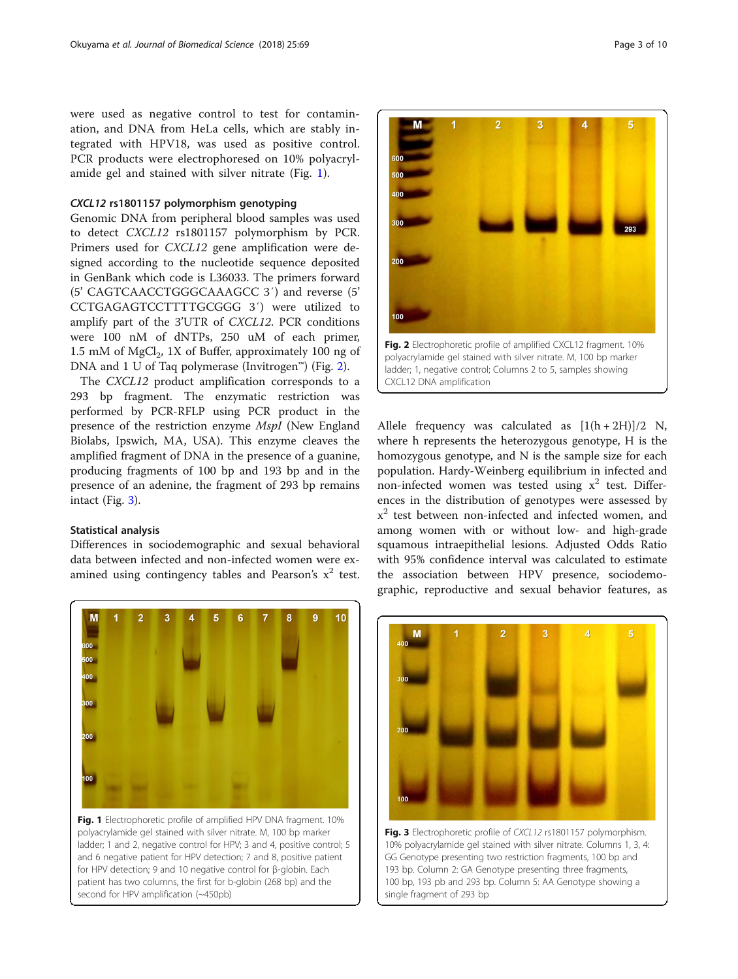were used as negative control to test for contamination, and DNA from HeLa cells, which are stably integrated with HPV18, was used as positive control. PCR products were electrophoresed on 10% polyacrylamide gel and stained with silver nitrate (Fig. 1).

# CXCL12 rs1801157 polymorphism genotyping

Genomic DNA from peripheral blood samples was used to detect CXCL12 rs1801157 polymorphism by PCR. Primers used for CXCL12 gene amplification were designed according to the nucleotide sequence deposited in GenBank which code is L36033. The primers forward (5' CAGTCAACCTGGGCAAAGCC 3′) and reverse (5' CCTGAGAGTCCTTTTGCGGG 3′) were utilized to amplify part of the 3'UTR of CXCL12. PCR conditions were 100 nM of dNTPs, 250 uM of each primer, 1.5 mM of MgCl $_2$ , 1X of Buffer, approximately 100 ng of DNA and 1 U of Taq polymerase (Invitrogen™) (Fig. 2).

The CXCL12 product amplification corresponds to a 293 bp fragment. The enzymatic restriction was performed by PCR-RFLP using PCR product in the presence of the restriction enzyme MspI (New England Biolabs, Ipswich, MA, USA). This enzyme cleaves the amplified fragment of DNA in the presence of a guanine, producing fragments of 100 bp and 193 bp and in the presence of an adenine, the fragment of 293 bp remains intact (Fig. 3).

# Statistical analysis

Differences in sociodemographic and sexual behavioral data between infected and non-infected women were examined using contingency tables and Pearson's  $x^2$  test.



Fig. 1 Electrophoretic profile of amplified HPV DNA fragment. 10% polyacrylamide gel stained with silver nitrate. M, 100 bp marker ladder; 1 and 2, negative control for HPV; 3 and 4, positive control; 5 and 6 negative patient for HPV detection; 7 and 8, positive patient for HPV detection; 9 and 10 negative control for β-globin. Each patient has two columns, the first for b-globin (268 bp) and the second for HPV amplification (~450pb)



Allele frequency was calculated as  $[1(h+2H)]/2$  N, where h represents the heterozygous genotype, H is the homozygous genotype, and N is the sample size for each population. Hardy-Weinberg equilibrium in infected and non-infected women was tested using  $x^2$  test. Differences in the distribution of genotypes were assessed by  $x<sup>2</sup>$  test between non-infected and infected women, and among women with or without low- and high-grade squamous intraepithelial lesions. Adjusted Odds Ratio with 95% confidence interval was calculated to estimate the association between HPV presence, sociodemographic, reproductive and sexual behavior features, as



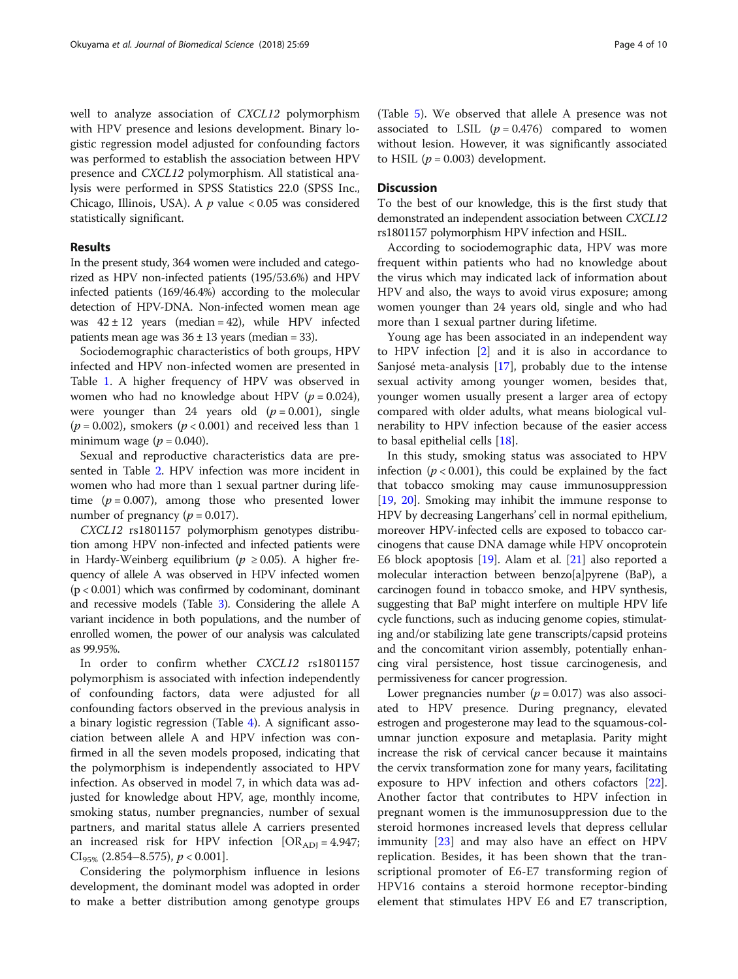well to analyze association of CXCL12 polymorphism with HPV presence and lesions development. Binary logistic regression model adjusted for confounding factors was performed to establish the association between HPV presence and CXCL12 polymorphism. All statistical analysis were performed in SPSS Statistics 22.0 (SPSS Inc., Chicago, Illinois, USA). A  $p$  value < 0.05 was considered statistically significant.

# Results

In the present study, 364 women were included and categorized as HPV non-infected patients (195/53.6%) and HPV infected patients (169/46.4%) according to the molecular detection of HPV-DNA. Non-infected women mean age was  $42 \pm 12$  years (median = 42), while HPV infected patients mean age was  $36 \pm 13$  years (median = 33).

Sociodemographic characteristics of both groups, HPV infected and HPV non-infected women are presented in Table [1.](#page-4-0) A higher frequency of HPV was observed in women who had no knowledge about HPV ( $p = 0.024$ ), were younger than 24 years old  $(p = 0.001)$ , single  $(p = 0.002)$ , smokers  $(p < 0.001)$  and received less than 1 minimum wage ( $p = 0.040$ ).

Sexual and reproductive characteristics data are presented in Table [2](#page-5-0). HPV infection was more incident in women who had more than 1 sexual partner during lifetime  $(p = 0.007)$ , among those who presented lower number of pregnancy ( $p = 0.017$ ).

CXCL12 rs1801157 polymorphism genotypes distribution among HPV non-infected and infected patients were in Hardy-Weinberg equilibrium ( $p \ge 0.05$ ). A higher frequency of allele A was observed in HPV infected women  $(p < 0.001)$  which was confirmed by codominant, dominant and recessive models (Table [3\)](#page-6-0). Considering the allele A variant incidence in both populations, and the number of enrolled women, the power of our analysis was calculated as 99.95%.

In order to confirm whether CXCL12 rs1801157 polymorphism is associated with infection independently of confounding factors, data were adjusted for all confounding factors observed in the previous analysis in a binary logistic regression (Table [4\)](#page-6-0). A significant association between allele A and HPV infection was confirmed in all the seven models proposed, indicating that the polymorphism is independently associated to HPV infection. As observed in model 7, in which data was adjusted for knowledge about HPV, age, monthly income, smoking status, number pregnancies, number of sexual partners, and marital status allele A carriers presented an increased risk for HPV infection  $[OR_{ADJ} = 4.947;$  $CI<sub>95%</sub>$  (2.854–8.575),  $p < 0.001$ ].

Considering the polymorphism influence in lesions development, the dominant model was adopted in order to make a better distribution among genotype groups

# **Discussion**

To the best of our knowledge, this is the first study that demonstrated an independent association between CXCL12 rs1801157 polymorphism HPV infection and HSIL.

According to sociodemographic data, HPV was more frequent within patients who had no knowledge about the virus which may indicated lack of information about HPV and also, the ways to avoid virus exposure; among women younger than 24 years old, single and who had more than 1 sexual partner during lifetime.

Young age has been associated in an independent way to HPV infection [\[2](#page-8-0)] and it is also in accordance to Sanjosé meta-analysis [[17\]](#page-8-0), probably due to the intense sexual activity among younger women, besides that, younger women usually present a larger area of ectopy compared with older adults, what means biological vulnerability to HPV infection because of the easier access to basal epithelial cells [\[18\]](#page-8-0).

In this study, smoking status was associated to HPV infection ( $p < 0.001$ ), this could be explained by the fact that tobacco smoking may cause immunosuppression [[19,](#page-8-0) [20\]](#page-8-0). Smoking may inhibit the immune response to HPV by decreasing Langerhans' cell in normal epithelium, moreover HPV-infected cells are exposed to tobacco carcinogens that cause DNA damage while HPV oncoprotein E6 block apoptosis [[19](#page-8-0)]. Alam et al. [\[21\]](#page-8-0) also reported a molecular interaction between benzo[a]pyrene (BaP), a carcinogen found in tobacco smoke, and HPV synthesis, suggesting that BaP might interfere on multiple HPV life cycle functions, such as inducing genome copies, stimulating and/or stabilizing late gene transcripts/capsid proteins and the concomitant virion assembly, potentially enhancing viral persistence, host tissue carcinogenesis, and permissiveness for cancer progression.

Lower pregnancies number ( $p = 0.017$ ) was also associated to HPV presence. During pregnancy, elevated estrogen and progesterone may lead to the squamous-columnar junction exposure and metaplasia. Parity might increase the risk of cervical cancer because it maintains the cervix transformation zone for many years, facilitating exposure to HPV infection and others cofactors [[22](#page-8-0)]. Another factor that contributes to HPV infection in pregnant women is the immunosuppression due to the steroid hormones increased levels that depress cellular immunity [[23\]](#page-8-0) and may also have an effect on HPV replication. Besides, it has been shown that the transcriptional promoter of E6-E7 transforming region of HPV16 contains a steroid hormone receptor-binding element that stimulates HPV E6 and E7 transcription,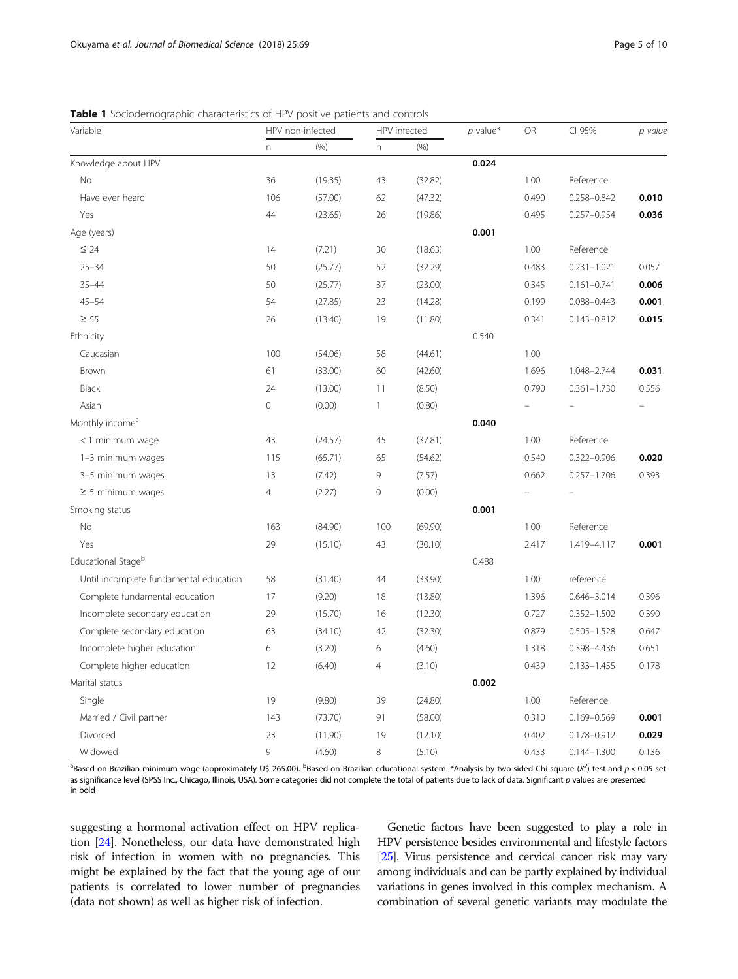<span id="page-4-0"></span>

| Variable                               | HPV non-infected |         | HPV infected        |         | $p$ value* | OR    | CI 95%          | p value |
|----------------------------------------|------------------|---------|---------------------|---------|------------|-------|-----------------|---------|
|                                        | n                | (% )    | $\mathsf{n}$        | (% )    |            |       |                 |         |
| Knowledge about HPV                    |                  |         |                     |         | 0.024      |       |                 |         |
| No                                     | 36               | (19.35) | 43                  | (32.82) |            | 1.00  | Reference       |         |
| Have ever heard                        | 106              | (57.00) | 62                  | (47.32) |            | 0.490 | 0.258-0.842     | 0.010   |
| Yes                                    | 44               | (23.65) | 26                  | (19.86) |            | 0.495 | $0.257 - 0.954$ | 0.036   |
| Age (years)                            |                  |         |                     |         | 0.001      |       |                 |         |
| $\leq 24$                              | 14               | (7.21)  | 30                  | (18.63) |            | 1.00  | Reference       |         |
| $25 - 34$                              | 50               | (25.77) | 52                  | (32.29) |            | 0.483 | $0.231 - 1.021$ | 0.057   |
| $35 - 44$                              | 50               | (25.77) | 37                  | (23.00) |            | 0.345 | $0.161 - 0.741$ | 0.006   |
| $45 - 54$                              | 54               | (27.85) | 23                  | (14.28) |            | 0.199 | $0.088 - 0.443$ | 0.001   |
| $\geq 55$                              | 26               | (13.40) | 19                  | (11.80) |            | 0.341 | $0.143 - 0.812$ | 0.015   |
| Ethnicity                              |                  |         |                     |         | 0.540      |       |                 |         |
| Caucasian                              | 100              | (54.06) | 58                  | (44.61) |            | 1.00  |                 |         |
| Brown                                  | 61               | (33.00) | 60                  | (42.60) |            | 1.696 | 1.048-2.744     | 0.031   |
| Black                                  | 24               | (13.00) | 11                  | (8.50)  |            | 0.790 | $0.361 - 1.730$ | 0.556   |
| Asian                                  | $\overline{0}$   | (0.00)  | 1                   | (0.80)  |            |       |                 |         |
| Monthly income <sup>a</sup>            |                  |         |                     |         | 0.040      |       |                 |         |
| <1 minimum wage                        | 43               | (24.57) | 45                  | (37.81) |            | 1.00  | Reference       |         |
| 1-3 minimum wages                      | 115              | (65.71) | 65                  | (54.62) |            | 0.540 | $0.322 - 0.906$ | 0.020   |
| 3-5 minimum wages                      | 13               | (7.42)  | 9                   | (7.57)  |            | 0.662 | $0.257 - 1.706$ | 0.393   |
| $\geq$ 5 minimum wages                 | 4                | (2.27)  | $\mathsf{O}\xspace$ | (0.00)  |            |       |                 |         |
| Smoking status                         |                  |         |                     |         | 0.001      |       |                 |         |
| No                                     | 163              | (84.90) | 100                 | (69.90) |            | 1.00  | Reference       |         |
| Yes                                    | 29               | (15.10) | 43                  | (30.10) |            | 2.417 | 1.419-4.117     | 0.001   |
| Educational Stageb                     |                  |         |                     |         | 0.488      |       |                 |         |
| Until incomplete fundamental education | 58               | (31.40) | 44                  | (33.90) |            | 1.00  | reference       |         |
| Complete fundamental education         | 17               | (9.20)  | 18                  | (13.80) |            | 1.396 | $0.646 - 3.014$ | 0.396   |
| Incomplete secondary education         | 29               | (15.70) | 16                  | (12.30) |            | 0.727 | $0.352 - 1.502$ | 0.390   |
| Complete secondary education           | 63               | (34.10) | 42                  | (32.30) |            | 0.879 | $0.505 - 1.528$ | 0.647   |
| Incomplete higher education            | 6                | (3.20)  | 6                   | (4.60)  |            | 1.318 | 0.398-4.436     | 0.651   |
| Complete higher education              | 12               | (6.40)  | $\overline{4}$      | (3.10)  |            | 0.439 | $0.133 - 1.455$ | 0.178   |
| Marital status                         |                  |         |                     |         | 0.002      |       |                 |         |
| Single                                 | 19               | (9.80)  | 39                  | (24.80) |            | 1.00  | Reference       |         |
| Married / Civil partner                | 143              | (73.70) | 91                  | (58.00) |            | 0.310 | 0.169-0.569     | 0.001   |
| Divorced                               | 23               | (11.90) | 19                  | (12.10) |            | 0.402 | 0.178-0.912     | 0.029   |
| Widowed                                | 9                | (4.60)  | 8                   | (5.10)  |            | 0.433 | $0.144 - 1.300$ | 0.136   |

assed on Brazilian minimum wage (approximately U\$ 265.00). <sup>b</sup>Based on Brazilian educational system. \*Analysis by two-sided Chi-square (Χ<sup>2</sup>) test and p < 0.05 set as significance level (SPSS Inc., Chicago, Illinois, USA). Some categories did not complete the total of patients due to lack of data. Significant p values are presented in bold

suggesting a hormonal activation effect on HPV replication [[24](#page-8-0)]. Nonetheless, our data have demonstrated high risk of infection in women with no pregnancies. This might be explained by the fact that the young age of our patients is correlated to lower number of pregnancies (data not shown) as well as higher risk of infection.

Genetic factors have been suggested to play a role in HPV persistence besides environmental and lifestyle factors [[25](#page-8-0)]. Virus persistence and cervical cancer risk may vary among individuals and can be partly explained by individual variations in genes involved in this complex mechanism. A combination of several genetic variants may modulate the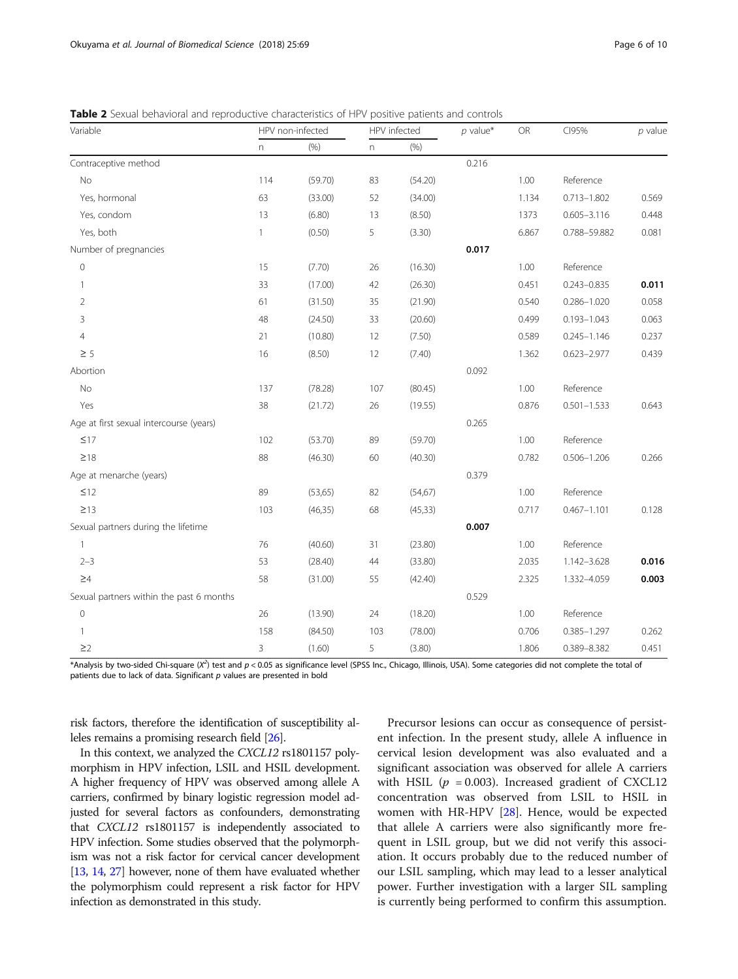| Variable                                 | HPV non-infected |          | HPV infected |          | $p$ value* | ${\sf OR}$ | CI95%           | $p$ value |
|------------------------------------------|------------------|----------|--------------|----------|------------|------------|-----------------|-----------|
|                                          | n.               | (% )     | n            | (% )     |            |            |                 |           |
| Contraceptive method                     |                  |          |              |          | 0.216      |            |                 |           |
| <b>No</b>                                | 114              | (59.70)  | 83           | (54.20)  |            | 1.00       | Reference       |           |
| Yes, hormonal                            | 63               | (33.00)  | 52           | (34.00)  |            | 1.134      | $0.713 - 1.802$ | 0.569     |
| Yes, condom                              | 13               | (6.80)   | 13           | (8.50)   |            | 1373       | $0.605 - 3.116$ | 0.448     |
| Yes, both                                | $\mathbf{1}$     | (0.50)   | 5            | (3.30)   |            | 6.867      | 0.788-59.882    | 0.081     |
| Number of pregnancies                    |                  |          |              |          | 0.017      |            |                 |           |
| $\overline{0}$                           | 15               | (7.70)   | 26           | (16.30)  |            | 1.00       | Reference       |           |
| 1                                        | 33               | (17.00)  | 42           | (26.30)  |            | 0.451      | $0.243 - 0.835$ | 0.011     |
| $\overline{2}$                           | 61               | (31.50)  | 35           | (21.90)  |            | 0.540      | $0.286 - 1.020$ | 0.058     |
| 3                                        | 48               | (24.50)  | 33           | (20.60)  |            | 0.499      | $0.193 - 1.043$ | 0.063     |
| $\overline{4}$                           | 21               | (10.80)  | 12           | (7.50)   |            | 0.589      | $0.245 - 1.146$ | 0.237     |
| $\geq$ 5                                 | 16               | (8.50)   | 12           | (7.40)   |            | 1.362      | $0.623 - 2.977$ | 0.439     |
| Abortion                                 |                  |          |              |          | 0.092      |            |                 |           |
| No                                       | 137              | (78.28)  | 107          | (80.45)  |            | 1.00       | Reference       |           |
| Yes                                      | 38               | (21.72)  | 26           | (19.55)  |            | 0.876      | $0.501 - 1.533$ | 0.643     |
| Age at first sexual intercourse (years)  |                  |          |              |          | 0.265      |            |                 |           |
| $\leq$ 17                                | 102              | (53.70)  | 89           | (59.70)  |            | 1.00       | Reference       |           |
| $\geq 18$                                | 88               | (46.30)  | 60           | (40.30)  |            | 0.782      | $0.506 - 1.206$ | 0.266     |
| Age at menarche (years)                  |                  |          |              |          | 0.379      |            |                 |           |
| $\leq$ 12                                | 89               | (53, 65) | 82           | (54, 67) |            | 1.00       | Reference       |           |
| $\geq$ 13                                | 103              | (46, 35) | 68           | (45, 33) |            | 0.717      | $0.467 - 1.101$ | 0.128     |
| Sexual partners during the lifetime      |                  |          |              |          | 0.007      |            |                 |           |
| $\mathbf{1}$                             | 76               | (40.60)  | 31           | (23.80)  |            | 1.00       | Reference       |           |
| $2 - 3$                                  | 53               | (28.40)  | 44           | (33.80)  |            | 2.035      | 1.142-3.628     | 0.016     |
| $\geq 4$                                 | 58               | (31.00)  | 55           | (42.40)  |            | 2.325      | 1.332-4.059     | 0.003     |
| Sexual partners within the past 6 months |                  |          |              |          | 0.529      |            |                 |           |
| $\mathbb O$                              | 26               | (13.90)  | 24           | (18.20)  |            | 1.00       | Reference       |           |
| 1                                        | 158              | (84.50)  | 103          | (78.00)  |            | 0.706      | $0.385 - 1.297$ | 0.262     |
| $\geq$ 2                                 | 3                | (1.60)   | 5            | (3.80)   |            | 1.806      | 0.389-8.382     | 0.451     |

<span id="page-5-0"></span>**Table 2** Sexual behavioral and reproductive characteristics of HPV positive patients and controls

\*Analysis by two-sided Chi-square (X<sup>2</sup>) test and p < 0.05 as significance level (SPSS Inc., Chicago, Illinois, USA). Some categories did not complete the total of patients due to lack of data. Significant  $p$  values are presented in bold

risk factors, therefore the identification of susceptibility alleles remains a promising research field [\[26\]](#page-8-0).

In this context, we analyzed the CXCL12 rs1801157 polymorphism in HPV infection, LSIL and HSIL development. A higher frequency of HPV was observed among allele A carriers, confirmed by binary logistic regression model adjusted for several factors as confounders, demonstrating that CXCL12 rs1801157 is independently associated to HPV infection. Some studies observed that the polymorphism was not a risk factor for cervical cancer development [[13](#page-8-0), [14,](#page-8-0) [27\]](#page-8-0) however, none of them have evaluated whether the polymorphism could represent a risk factor for HPV infection as demonstrated in this study.

Precursor lesions can occur as consequence of persistent infection. In the present study, allele A influence in cervical lesion development was also evaluated and a significant association was observed for allele A carriers with HSIL ( $p = 0.003$ ). Increased gradient of CXCL12 concentration was observed from LSIL to HSIL in women with HR-HPV [\[28](#page-8-0)]. Hence, would be expected that allele A carriers were also significantly more frequent in LSIL group, but we did not verify this association. It occurs probably due to the reduced number of our LSIL sampling, which may lead to a lesser analytical power. Further investigation with a larger SIL sampling is currently being performed to confirm this assumption.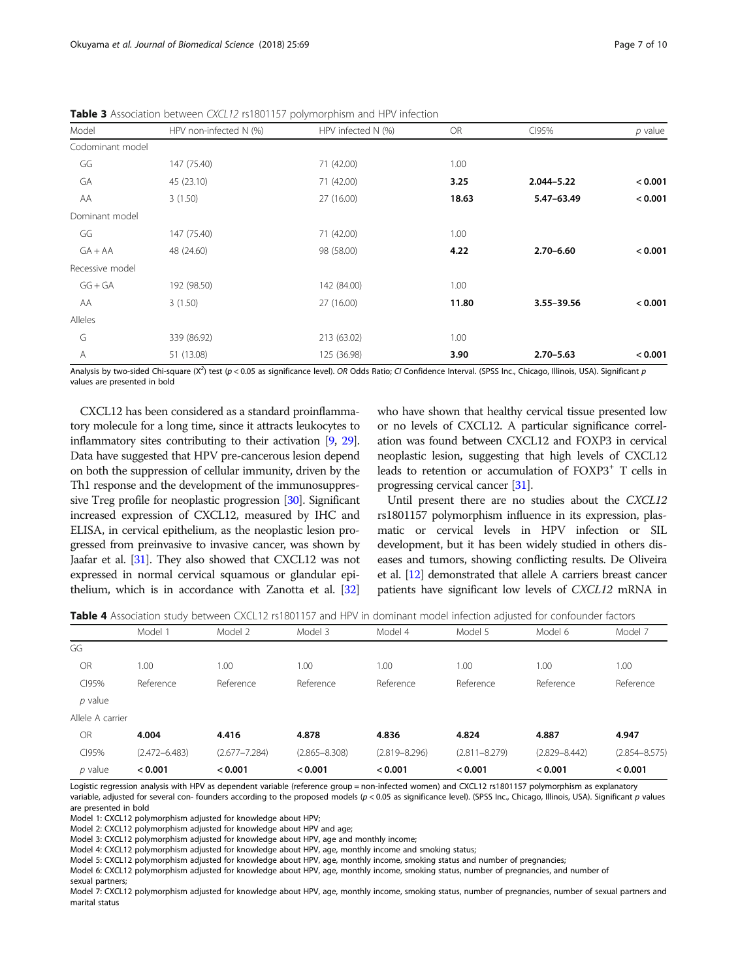| Model            | HPV non-infected N (%) | HPV infected N (%) | OR    | CI95%          | $p$ value |
|------------------|------------------------|--------------------|-------|----------------|-----------|
| Codominant model |                        |                    |       |                |           |
| GG               | 147 (75.40)            | 71 (42.00)         | 1.00  |                |           |
| GA               | 45 (23.10)             | 71 (42.00)         | 3.25  | $2.044 - 5.22$ | < 0.001   |
| AA               | 3(1.50)                | 27 (16.00)         | 18.63 | 5.47-63.49     | < 0.001   |
| Dominant model   |                        |                    |       |                |           |
| GG               | 147 (75.40)            | 71 (42.00)         | 1.00  |                |           |
| $GA+AA$          | 48 (24.60)             | 98 (58.00)         | 4.22  | $2.70 - 6.60$  | < 0.001   |
| Recessive model  |                        |                    |       |                |           |
| $GG + GA$        | 192 (98.50)            | 142 (84.00)        | 1.00  |                |           |
| AA               | 3(1.50)                | 27 (16.00)         | 11.80 | 3.55-39.56     | < 0.001   |
| Alleles          |                        |                    |       |                |           |
| G                | 339 (86.92)            | 213 (63.02)        | 1.00  |                |           |
| Α                | 51 (13.08)             | 125 (36.98)        | 3.90  | $2.70 - 5.63$  | < 0.001   |

<span id="page-6-0"></span>Table 3 Association between CXCL12 rs1801157 polymorphism and HPV infection

Analysis by two-sided Chi-square (Χ<sup>2</sup>) test (p < 0.05 as significance level). OR Odds Ratio; CI Confidence Interval. (SPSS Inc., Chicago, Illinois, USA). Significant p values are presented in bold

CXCL12 has been considered as a standard proinflammatory molecule for a long time, since it attracts leukocytes to inflammatory sites contributing to their activation [\[9](#page-8-0), [29](#page-8-0)]. Data have suggested that HPV pre-cancerous lesion depend on both the suppression of cellular immunity, driven by the Th1 response and the development of the immunosuppressive Treg profile for neoplastic progression [\[30](#page-8-0)]. Significant increased expression of CXCL12, measured by IHC and ELISA, in cervical epithelium, as the neoplastic lesion progressed from preinvasive to invasive cancer, was shown by Jaafar et al. [\[31\]](#page-8-0). They also showed that CXCL12 was not expressed in normal cervical squamous or glandular epithelium, which is in accordance with Zanotta et al. [\[32](#page-8-0)] who have shown that healthy cervical tissue presented low or no levels of CXCL12. A particular significance correlation was found between CXCL12 and FOXP3 in cervical neoplastic lesion, suggesting that high levels of CXCL12 leads to retention or accumulation of FOXP3+ T cells in progressing cervical cancer [[31](#page-8-0)].

Until present there are no studies about the CXCL12 rs1801157 polymorphism influence in its expression, plasmatic or cervical levels in HPV infection or SIL development, but it has been widely studied in others diseases and tumors, showing conflicting results. De Oliveira et al. [\[12](#page-8-0)] demonstrated that allele A carriers breast cancer patients have significant low levels of CXCL12 mRNA in

| <b>Table 4</b> Association study between CXCL12 rs1801157 and HPV in dominant model infection adjusted for confounder factors |  |  |  |  |  |  |
|-------------------------------------------------------------------------------------------------------------------------------|--|--|--|--|--|--|
|                                                                                                                               |  |  |  |  |  |  |

|                  | Model 1           | Model 2           | Model 3           | Model 4           | Model 5           | Model 6           | Model 7           |
|------------------|-------------------|-------------------|-------------------|-------------------|-------------------|-------------------|-------------------|
| GG               |                   |                   |                   |                   |                   |                   |                   |
| OR               | 1.00              | 1.00              | 1.00              | 1.00              | 1.00              | 1.00              | 1.00              |
| CI95%            | Reference         | Reference         | Reference         | Reference         | Reference         | Reference         | Reference         |
| $p$ value        |                   |                   |                   |                   |                   |                   |                   |
| Allele A carrier |                   |                   |                   |                   |                   |                   |                   |
| <b>OR</b>        | 4.004             | 4.416             | 4.878             | 4.836             | 4.824             | 4.887             | 4.947             |
| CI95%            | $(2.472 - 6.483)$ | $(2.677 - 7.284)$ | $(2.865 - 8.308)$ | $(2.819 - 8.296)$ | $(2.811 - 8.279)$ | $(2.829 - 8.442)$ | $(2.854 - 8.575)$ |
| $p$ value        | < 0.001           | < 0.001           | < 0.001           | < 0.001           | < 0.001           | < 0.001           | < 0.001           |

Logistic regression analysis with HPV as dependent variable (reference group = non-infected women) and CXCL12 rs1801157 polymorphism as explanatory variable, adjusted for several con- founders according to the proposed models (p < 0.05 as significance level). (SPSS Inc., Chicago, Illinois, USA). Significant p values

are presented in bold

Model 1: CXCL12 polymorphism adjusted for knowledge about HPV;

Model 2: CXCL12 polymorphism adjusted for knowledge about HPV and age;

Model 3: CXCL12 polymorphism adjusted for knowledge about HPV, age and monthly income;

Model 4: CXCL12 polymorphism adjusted for knowledge about HPV, age, monthly income and smoking status;

Model 5: CXCL12 polymorphism adjusted for knowledge about HPV, age, monthly income, smoking status and number of pregnancies;

Model 6: CXCL12 polymorphism adjusted for knowledge about HPV, age, monthly income, smoking status, number of pregnancies, and number of

sexual partners;

Model 7: CXCL12 polymorphism adjusted for knowledge about HPV, age, monthly income, smoking status, number of pregnancies, number of sexual partners and marital status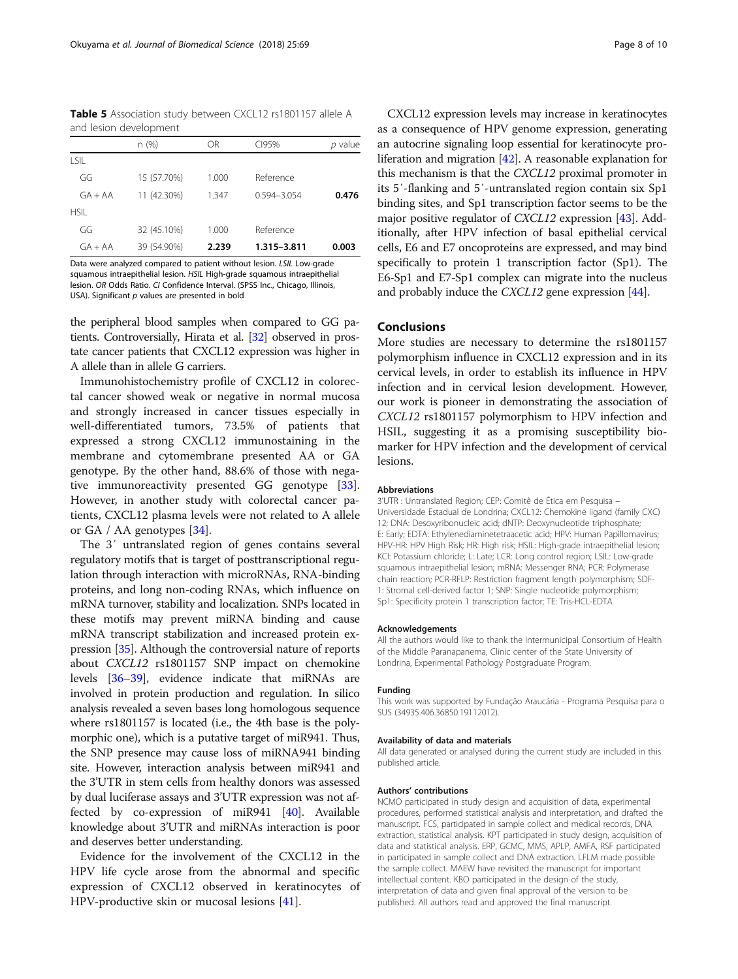<span id="page-7-0"></span>Table 5 Association study between CXCL12 rs1801157 allele A and lesion development

|             | n(%)        | ΟR    | CI95%           | p value |
|-------------|-------------|-------|-----------------|---------|
| I SIL       |             |       |                 |         |
| GG          | 15 (57.70%) | 1.000 | Reference       |         |
| $GA + AA$   | 11 (42.30%) | 1.347 | $0.594 - 3.054$ | 0.476   |
| <b>HSIL</b> |             |       |                 |         |
| GG          | 32 (45.10%) | 1.000 | Reference       |         |
| $GA + AA$   | 39 (54.90%) | 2.239 | 1.315-3.811     | 0.003   |

Data were analyzed compared to patient without lesion. LSIL Low-grade squamous intraepithelial lesion. HSIL High-grade squamous intraepithelial lesion. OR Odds Ratio. CI Confidence Interval. (SPSS Inc., Chicago, Illinois, USA). Significant  $p$  values are presented in bold

the peripheral blood samples when compared to GG patients. Controversially, Hirata et al. [\[32\]](#page-8-0) observed in prostate cancer patients that CXCL12 expression was higher in A allele than in allele G carriers.

Immunohistochemistry profile of CXCL12 in colorectal cancer showed weak or negative in normal mucosa and strongly increased in cancer tissues especially in well-differentiated tumors, 73.5% of patients that expressed a strong CXCL12 immunostaining in the membrane and cytomembrane presented AA or GA genotype. By the other hand, 88.6% of those with negative immunoreactivity presented GG genotype [\[33](#page-8-0)]. However, in another study with colorectal cancer patients, CXCL12 plasma levels were not related to A allele or GA / AA genotypes [[34](#page-8-0)].

The 3′ untranslated region of genes contains several regulatory motifs that is target of posttranscriptional regulation through interaction with microRNAs, RNA-binding proteins, and long non-coding RNAs, which influence on mRNA turnover, stability and localization. SNPs located in these motifs may prevent miRNA binding and cause mRNA transcript stabilization and increased protein expression [[35](#page-8-0)]. Although the controversial nature of reports about CXCL12 rs1801157 SNP impact on chemokine levels [[36](#page-8-0)–[39](#page-9-0)], evidence indicate that miRNAs are involved in protein production and regulation. In silico analysis revealed a seven bases long homologous sequence where rs1801157 is located (i.e., the 4th base is the polymorphic one), which is a putative target of miR941. Thus, the SNP presence may cause loss of miRNA941 binding site. However, interaction analysis between miR941 and the 3'UTR in stem cells from healthy donors was assessed by dual luciferase assays and 3'UTR expression was not affected by co-expression of miR941 [[40](#page-9-0)]. Available knowledge about 3'UTR and miRNAs interaction is poor and deserves better understanding.

Evidence for the involvement of the CXCL12 in the HPV life cycle arose from the abnormal and specific expression of CXCL12 observed in keratinocytes of HPV-productive skin or mucosal lesions [\[41\]](#page-9-0).

CXCL12 expression levels may increase in keratinocytes as a consequence of HPV genome expression, generating an autocrine signaling loop essential for keratinocyte proliferation and migration [[42](#page-9-0)]. A reasonable explanation for this mechanism is that the CXCL12 proximal promoter in its 5′-flanking and 5′-untranslated region contain six Sp1 binding sites, and Sp1 transcription factor seems to be the major positive regulator of *CXCL12* expression [\[43\]](#page-9-0). Additionally, after HPV infection of basal epithelial cervical cells, E6 and E7 oncoproteins are expressed, and may bind specifically to protein 1 transcription factor (Sp1). The E6-Sp1 and E7-Sp1 complex can migrate into the nucleus and probably induce the CXCL12 gene expression [\[44\]](#page-9-0).

# Conclusions

More studies are necessary to determine the rs1801157 polymorphism influence in CXCL12 expression and in its cervical levels, in order to establish its influence in HPV infection and in cervical lesion development. However, our work is pioneer in demonstrating the association of CXCL12 rs1801157 polymorphism to HPV infection and HSIL, suggesting it as a promising susceptibility biomarker for HPV infection and the development of cervical lesions.

#### Abbreviations

3'UTR : Untranslated Region; CEP: Comitê de Ética em Pesquisa – Universidade Estadual de Londrina; CXCL12: Chemokine ligand (family CXC) 12; DNA: Desoxyribonucleic acid; dNTP: Deoxynucleotide triphosphate; E: Early; EDTA: Ethylenediaminetetraacetic acid; HPV: Human Papillomavirus; HPV-HR: HPV High Risk; HR: High risk; HSIL: High-grade intraepithelial lesion; KCI: Potassium chloride; L: Late; LCR: Long control region; LSIL: Low-grade squamous intraepithelial lesion; mRNA: Messenger RNA; PCR: Polymerase chain reaction; PCR-RFLP: Restriction fragment length polymorphism; SDF-1: Stromal cell-derived factor 1; SNP: Single nucleotide polymorphism; Sp1: Specificity protein 1 transcription factor; TE: Tris-HCL-EDTA

#### Acknowledgements

All the authors would like to thank the Intermunicipal Consortium of Health of the Middle Paranapanema, Clinic center of the State University of Londrina, Experimental Pathology Postgraduate Program.

#### Funding

This work was supported by Fundação Araucária - Programa Pesquisa para o SUS (34935.406.36850.19112012).

# Availability of data and materials

All data generated or analysed during the current study are included in this published article.

#### Authors' contributions

NCMO participated in study design and acquisition of data, experimental procedures, performed statistical analysis and interpretation, and drafted the manuscript. FCS, participated in sample collect and medical records, DNA extraction, statistical analysis. KPT participated in study design, acquisition of data and statistical analysis. ERP, GCMC, MMS, APLP, AMFA, RSF participated in participated in sample collect and DNA extraction. LFLM made possible the sample collect. MAEW have revisited the manuscript for important intellectual content. KBO participated in the design of the study, interpretation of data and given final approval of the version to be published. All authors read and approved the final manuscript.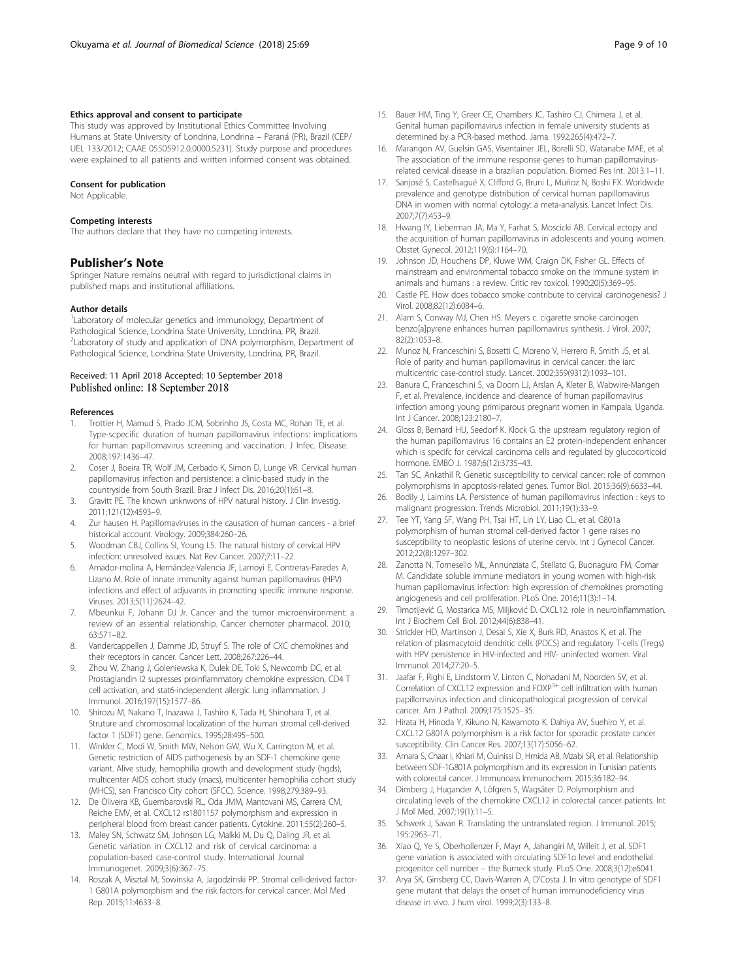# <span id="page-8-0"></span>Ethics approval and consent to participate

This study was approved by Institutional Ethics Committee Involving Humans at State University of Londrina, Londrina – Paraná (PR), Brazil (CEP/ UEL 133/2012; CAAE 05505912.0.0000.5231). Study purpose and procedures were explained to all patients and written informed consent was obtained.

#### Consent for publication

Not Applicable.

# Competing interests

The authors declare that they have no competing interests.

# Publisher's Note

Springer Nature remains neutral with regard to jurisdictional claims in published maps and institutional affiliations.

#### Author details

<sup>1</sup> Laboratory of molecular genetics and immunology, Department of Pathological Science, Londrina State University, Londrina, PR, Brazil. <sup>2</sup>Laboratory of study and application of DNA polymorphism, Department of Pathological Science, Londrina State University, Londrina, PR, Brazil.

# Received: 11 April 2018 Accepted: 10 September 2018 Published online: 18 September 2018

#### References

- 1. Trottier H, Mamud S, Prado JCM, Sobrinho JS, Costa MC, Rohan TE, et al. Type-scpecific duration of human papillomavirus infections: implications for human papillomavirus screening and vaccination. J Infec. Disease. 2008;197:1436–47.
- 2. Coser J, Boeira TR, Wolf JM, Cerbado K, Simon D, Lunge VR. Cervical human papillomavirus infection and persistence: a clinic-based study in the countryside from South Brazil. Braz J Infect Dis. 2016;20(1):61–8.
- Gravitt PE. The known unknwons of HPV natural history. J Clin Investig. 2011;121(12):4593–9.
- 4. Zur hausen H. Papillomaviruses in the causation of human cancers a brief historical account. Virology. 2009;384:260–26.
- 5. Woodman CBJ, Collins SI, Young LS. The natural history of cervical HPV infection: unresolved issues. Nat Rev Cancer. 2007;7:11–22.
- Amador-molina A, Hernández-Valencia JF, Lamoyi E, Contreras-Paredes A, Lizano M. Role of innate immunity against human papillomavirus (HPV) infections and effect of adjuvants in promoting specific immune response. Viruses. 2013;5(11):2624–42.
- 7. Mbeunkui F, Johann DJ Jr. Cancer and the tumor microenvironment: a review of an essential relationship. Cancer chemoter pharmacol. 2010; 63:571–82.
- Vandercappellen J, Damme JD, Struyf S. The role of CXC chemokines and their receptors in cancer. Cancer Lett. 2008;267:226–44.
- 9. Zhou W, Zhang J, Goleniewska K, Dulek DE, Toki S, Newcomb DC, et al. Prostaglandin I2 supresses proinflammatory chemokine expression, CD4 T cell activation, and stat6-independent allergic lung inflammation. J Immunol. 2016;197(15):1577–86.
- 10. Shirozu M, Nakano T, Inazawa J, Tashiro K, Tada H, Shinohara T, et al. Struture and chromosomal localization of the human stromal cell-derived factor 1 (SDF1) gene. Genomics. 1995;28:495–500.
- 11. Winkler C, Modi W, Smith MW, Nelson GW, Wu X, Carrington M, et al. Genetic restriction of AIDS pathogenesis by an SDF-1 chemokine gene variant. Alive study, hemophilia growth and development study (hgds), multicenter AIDS cohort study (macs), multicenter hemophilia cohort study (MHCS), san Francisco City cohort (SFCC). Science. 1998;279:389–93.
- 12. De Oliveira KB, Guembarovski RL, Oda JMM, Mantovani MS, Carrera CM, Reiche EMV, et al. CXCL12 rs1801157 polymorphism and expression in peripheral blood from breast cancer patients. Cytokine. 2011;55(2):260–5.
- 13. Maley SN, Schwatz SM, Johnson LG, Malkki M, Du Q, Daling JR, et al. Genetic variation in CXCL12 and risk of cervical carcinoma: a population-based case-control study. International Journal Immunogenet. 2009;3(6):367–75.
- 14. Roszak A, Misztal M, Sowinska A, Jagodzinski PP. Stromal cell-derived factor-1 G801A polymorphism and the risk factors for cervical cancer. Mol Med Rep. 2015;11:4633–8.
- 15. Bauer HM, Ting Y, Greer CE, Chambers JC, Tashiro CJ, Chimera J, et al. Genital human papillomavirus infection in female university students as determined by a PCR-based method. Jama. 1992;265(4):472–7.
- 16. Marangon AV, Guelsin GAS, Visentainer JEL, Borelli SD, Watanabe MAE, et al. The association of the immune response genes to human papillomavirusrelated cervical disease in a brazilian population. Biomed Res Int. 2013:1–11.
- 17. Sanjosé S, Castellsagué X, Clifford G, Bruni L, Muñoz N, Boshi FX. Worldwide prevalence and genotype distribution of cervical human papillomavirus DNA in women with normal cytology: a meta-analysis. Lancet Infect Dis. 2007;7(7):453–9.
- 18. Hwang lY, Lieberman JA, Ma Y, Farhat S, Moscicki AB. Cervical ectopy and the acquisition of human papillomavirus in adolescents and young women. Obstet Gynecol. 2012;119(6):1164–70.
- 19. Johnson JD, Houchens DP, Kluwe WM, Craign DK, Fisher GL. Effects of mainstream and environmental tobacco smoke on the immune system in animals and humans : a review. Critic rev toxicol. 1990;20(5):369–95.
- 20. Castle PE. How does tobacco smoke contribute to cervical carcinogenesis? J Virol. 2008;82(12):6084–6.
- 21. Alam S, Conway MJ, Chen HS, Meyers c, cigarette smoke carcinogen benzo[a]pyrene enhances human papillomavirus synthesis. J Virol. 2007; 82(2):1053–8.
- 22. Munoz N, Franceschini S, Bosetti C, Moreno V, Herrero R, Smith JS, et al. Role of parity and human papillomavirus in cervical cancer: the iarc multicentric case-control study. Lancet. 2002;359(9312):1093–101.
- 23. Banura C, Franceschini S, va Doorn LJ, Arslan A, Kleter B, Wabwire-Mangen F, et al. Prevalence, incidence and clearence of human papillomavirus infection among young primiparous pregnant women in Kampala, Uganda. Int J Cancer. 2008;123:2180–7.
- 24. Gloss B, Bernard HU, Seedorf K. Klock G. the upstream regulatory region of the human papillomavirus 16 contains an E2 protein-independent enhancer which is specifc for cervical carcinoma cells and regulated by glucocorticoid hormone. EMBO J. 1987;6(12):3735–43.
- 25. Tan SC, Ankathil R. Genetic susceptibility to cervical cancer: role of common polymorphisms in apoptosis-related genes. Tumor Biol. 2015;36(9):6633–44.
- 26. Bodily J, Laimins LA. Persistence of human papillomavirus infection : keys to malignant progression. Trends Microbiol. 2011;19(1):33–9.
- 27. Tee YT, Yang SF, Wang PH, Tsai HT, Lin LY, Liao CL, et al. G801a polymorphism of human stromal cell-derived factor 1 gene raises no susceptibility to neoplastic lesions of uterine cervix. Int J Gynecol Cancer. 2012;22(8):1297–302.
- 28. Zanotta N, Tornesello ML, Annunziata C, Stellato G, Buonaguro FM, Comar M. Candidate soluble immune mediators in young women with high-risk human papillomavirus infection: high expression of chemokines promoting angiogenesis and cell proliferation. PLoS One. 2016;11(3):1–14.
- 29. Timotijević G, Mostarica MS, Miljković D. CXCL12: role in neuroinflammation. Int J Biochem Cell Biol. 2012;44(6):838–41.
- 30. Strickler HD, Martinson J, Desai S, Xie X, Burk RD, Anastos K, et al. The relation of plasmacytoid dendritic cells (PDCS) and regulatory T-cells (Tregs) with HPV persistence in HIV-infected and HIV- uninfected women. Viral Immunol. 2014;27:20–5.
- 31. Jaafar F, Righi E, Lindstorm V, Linton C, Nohadani M, Noorden SV, et al. Correlation of CXCL12 expression and FOXP<sup>3+</sup> cell infiltration with human papillomavirus infection and clinicopathological progression of cervical cancer. Am J Pathol. 2009;175:1525–35.
- 32. Hirata H, Hinoda Y, Kikuno N, Kawamoto K, Dahiya AV, Suehiro Y, et al. CXCL12 G801A polymorphism is a risk factor for sporadic prostate cancer susceptibility. Clin Cancer Res. 2007;13(17):5056–62.
- 33. Amara S, Chaar I, Khiari M, Ouinissi D, Hmida AB, Mzabi SR, et al. Relationship between SDF-1G801A polymorphism and its expression in Tunisian patients with colorectal cancer. J Immunoass Immunochem. 2015;36:182–94.
- 34. Dimberg J, Hugander A, Löfgren S, Wagsäter D. Polymorphism and circulating levels of the chemokine CXCL12 in colorectal cancer patients. Int J Mol Med. 2007;19(1):11–5.
- 35. Schwerk J, Savan R. Translating the untranslated region. J Immunol. 2015; 195:2963–71.
- 36. Xiao Q, Ye S, Oberhollenzer F, Mayr A, Jahangiri M, Willeit J, et al. SDF1 gene variation is associated with circulating SDF1α level and endothelial progenitor cell number – the Burneck study. PLoS One. 2008;3(12):e6041.
- 37. Arya SK, Ginsberg CC, Davis-Warren A, D'Costa J. In vitro genotype of SDF1 gene mutant that delays the onset of human immunodeficiency virus disease in vivo. J hum virol. 1999;2(3):133–8.